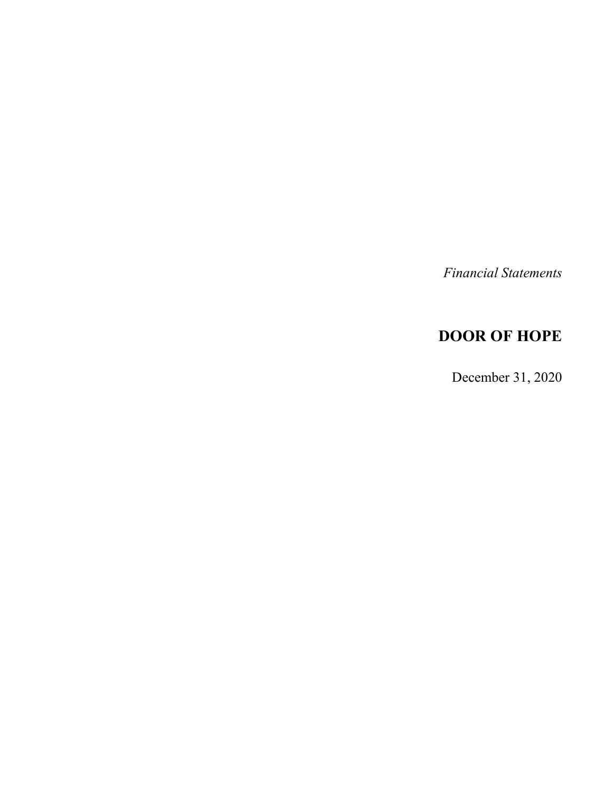*Financial Statements*

# **DOOR OF HOPE**

December 31, 2020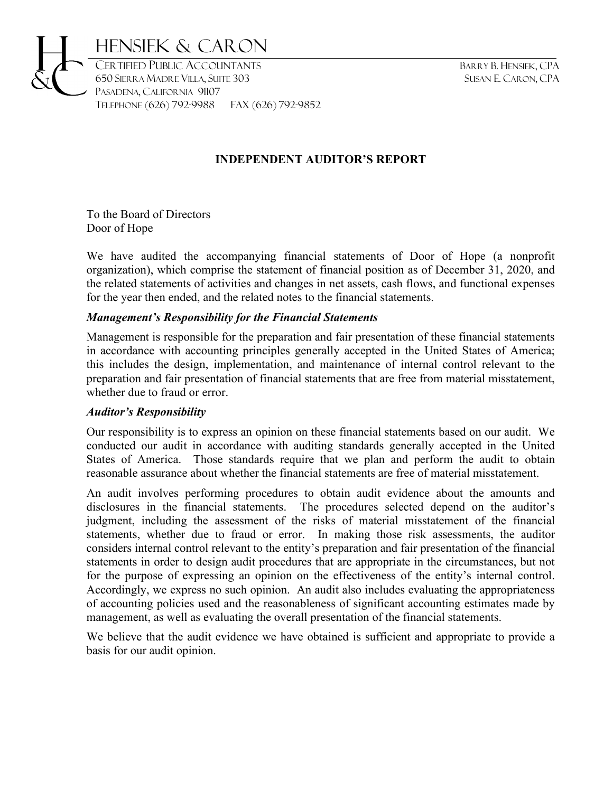

# **INDEPENDENT AUDITOR'S REPORT**

To the Board of Directors Door of Hope

We have audited the accompanying financial statements of Door of Hope (a nonprofit organization), which comprise the statement of financial position as of December 31, 2020, and the related statements of activities and changes in net assets, cash flows, and functional expenses for the year then ended, and the related notes to the financial statements.

#### *Management's Responsibility for the Financial Statements*

TELEPHONE (626) 792-9988 Fax (626) 792-9852

Management is responsible for the preparation and fair presentation of these financial statements in accordance with accounting principles generally accepted in the United States of America; this includes the design, implementation, and maintenance of internal control relevant to the preparation and fair presentation of financial statements that are free from material misstatement, whether due to fraud or error.

# *Auditor's Responsibility*

Our responsibility is to express an opinion on these financial statements based on our audit. We conducted our audit in accordance with auditing standards generally accepted in the United States of America. Those standards require that we plan and perform the audit to obtain reasonable assurance about whether the financial statements are free of material misstatement.

An audit involves performing procedures to obtain audit evidence about the amounts and disclosures in the financial statements. The procedures selected depend on the auditor's judgment, including the assessment of the risks of material misstatement of the financial statements, whether due to fraud or error. In making those risk assessments, the auditor considers internal control relevant to the entity's preparation and fair presentation of the financial statements in order to design audit procedures that are appropriate in the circumstances, but not for the purpose of expressing an opinion on the effectiveness of the entity's internal control. Accordingly, we express no such opinion. An audit also includes evaluating the appropriateness of accounting policies used and the reasonableness of significant accounting estimates made by management, as well as evaluating the overall presentation of the financial statements.

We believe that the audit evidence we have obtained is sufficient and appropriate to provide a basis for our audit opinion.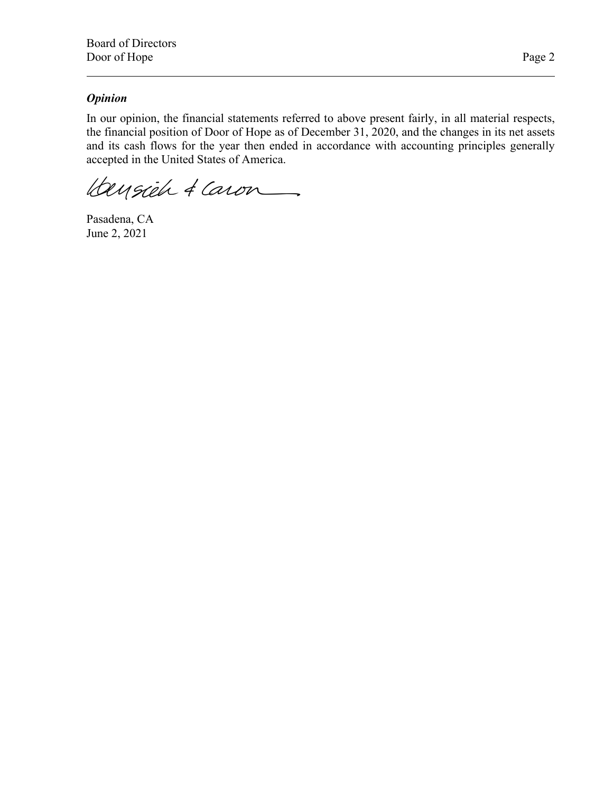# *Opinion*

In our opinion, the financial statements referred to above present fairly, in all material respects, the financial position of Door of Hope as of December 31, 2020, and the changes in its net assets and its cash flows for the year then ended in accordance with accounting principles generally accepted in the United States of America.

Hensieh & Caron

Pasadena, CA June 2, 2021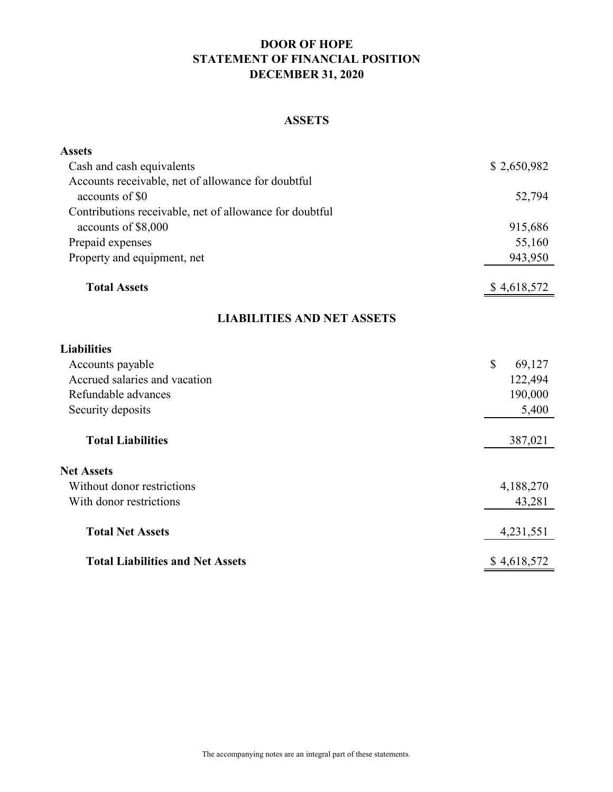# **DOOR OF HOPE STATEMENT OF FINANCIAL POSITION DECEMBER 31, 2020**

# **ASSETS**

| <b>Assets</b>                                           |                        |
|---------------------------------------------------------|------------------------|
| Cash and cash equivalents                               | \$2,650,982            |
| Accounts receivable, net of allowance for doubtful      |                        |
| accounts of \$0                                         | 52,794                 |
| Contributions receivable, net of allowance for doubtful |                        |
| accounts of \$8,000                                     | 915,686                |
| Prepaid expenses                                        | 55,160                 |
| Property and equipment, net                             | 943,950                |
| <b>Total Assets</b>                                     | \$4,618,572            |
| <b>LIABILITIES AND NET ASSETS</b>                       |                        |
| <b>Liabilities</b>                                      |                        |
| Accounts payable                                        | $\mathbb{S}$<br>69,127 |
| Accrued salaries and vacation                           | 122,494                |
| Refundable advances                                     | 190,000                |
| Security deposits                                       | 5,400                  |
| <b>Total Liabilities</b>                                | 387,021                |
| <b>Net Assets</b>                                       |                        |
| Without donor restrictions                              | 4,188,270              |
| With donor restrictions                                 | 43,281                 |
| <b>Total Net Assets</b>                                 | 4,231,551              |
| <b>Total Liabilities and Net Assets</b>                 | \$4,618,572            |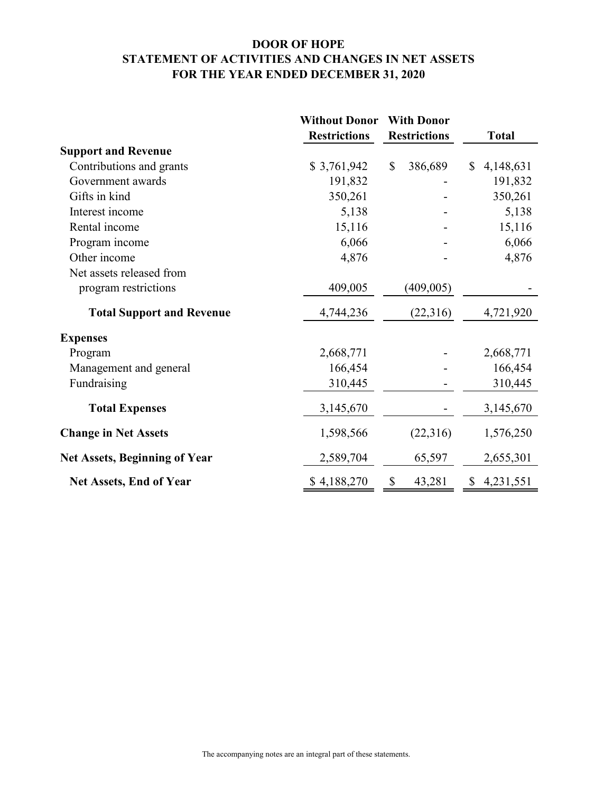# **DOOR OF HOPE STATEMENT OF ACTIVITIES AND CHANGES IN NET ASSETS FOR THE YEAR ENDED DECEMBER 31, 2020**

|                                      | <b>Without Donor</b> | <b>With Donor</b>                   |                           |
|--------------------------------------|----------------------|-------------------------------------|---------------------------|
|                                      | <b>Restrictions</b>  | <b>Restrictions</b>                 | <b>Total</b>              |
| <b>Support and Revenue</b>           |                      |                                     |                           |
| Contributions and grants             | \$3,761,942          | $\mathcal{S}$<br>386,689            | 4,148,631<br>$\mathbb{S}$ |
| Government awards                    | 191,832              |                                     | 191,832                   |
| Gifts in kind                        | 350,261              |                                     | 350,261                   |
| Interest income                      | 5,138                |                                     | 5,138                     |
| Rental income                        | 15,116               |                                     | 15,116                    |
| Program income                       | 6,066                |                                     | 6,066                     |
| Other income                         | 4,876                |                                     | 4,876                     |
| Net assets released from             |                      |                                     |                           |
| program restrictions                 | 409,005              | (409, 005)                          |                           |
| <b>Total Support and Revenue</b>     | 4,744,236            | (22,316)                            | 4,721,920                 |
| <b>Expenses</b>                      |                      |                                     |                           |
| Program                              | 2,668,771            |                                     | 2,668,771                 |
| Management and general               | 166,454              |                                     | 166,454                   |
| Fundraising                          | 310,445              |                                     | 310,445                   |
| <b>Total Expenses</b>                | 3,145,670            |                                     | 3,145,670                 |
| <b>Change in Net Assets</b>          | 1,598,566            | (22,316)                            | 1,576,250                 |
| <b>Net Assets, Beginning of Year</b> | 2,589,704            | 65,597                              | 2,655,301                 |
| <b>Net Assets, End of Year</b>       | \$4,188,270          | $\boldsymbol{\mathsf{S}}$<br>43,281 | \$4,231,551               |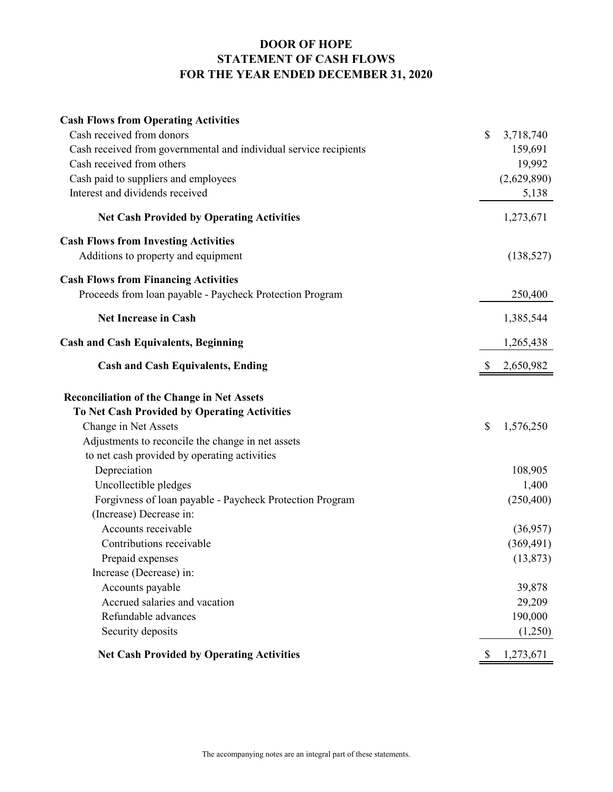# **DOOR OF HOPE STATEMENT OF CASH FLOWS FOR THE YEAR ENDED DECEMBER 31, 2020**

| <b>Cash Flows from Operating Activities</b>                       |                 |
|-------------------------------------------------------------------|-----------------|
| Cash received from donors                                         | \$<br>3,718,740 |
| Cash received from governmental and individual service recipients | 159,691         |
| Cash received from others                                         | 19,992          |
| Cash paid to suppliers and employees                              | (2,629,890)     |
| Interest and dividends received                                   | 5,138           |
| <b>Net Cash Provided by Operating Activities</b>                  | 1,273,671       |
| <b>Cash Flows from Investing Activities</b>                       |                 |
| Additions to property and equipment                               | (138, 527)      |
| <b>Cash Flows from Financing Activities</b>                       |                 |
| Proceeds from loan payable - Paycheck Protection Program          | 250,400         |
| <b>Net Increase in Cash</b>                                       | 1,385,544       |
| <b>Cash and Cash Equivalents, Beginning</b>                       | 1,265,438       |
| <b>Cash and Cash Equivalents, Ending</b>                          | 2,650,982       |
| <b>Reconciliation of the Change in Net Assets</b>                 |                 |
| To Net Cash Provided by Operating Activities                      |                 |
| Change in Net Assets                                              | \$<br>1,576,250 |
| Adjustments to reconcile the change in net assets                 |                 |
| to net cash provided by operating activities                      |                 |
| Depreciation                                                      | 108,905         |
| Uncollectible pledges                                             | 1,400           |
| Forgivness of loan payable - Paycheck Protection Program          | (250, 400)      |
| (Increase) Decrease in:                                           |                 |
| Accounts receivable                                               | (36,957)        |
| Contributions receivable                                          | (369, 491)      |
| Prepaid expenses                                                  | (13, 873)       |
| Increase (Decrease) in:                                           |                 |
| Accounts payable                                                  | 39,878          |
| Accrued salaries and vacation                                     | 29,209          |
| Refundable advances                                               | 190,000         |
| Security deposits                                                 | (1,250)         |
| <b>Net Cash Provided by Operating Activities</b>                  | \$<br>1,273,671 |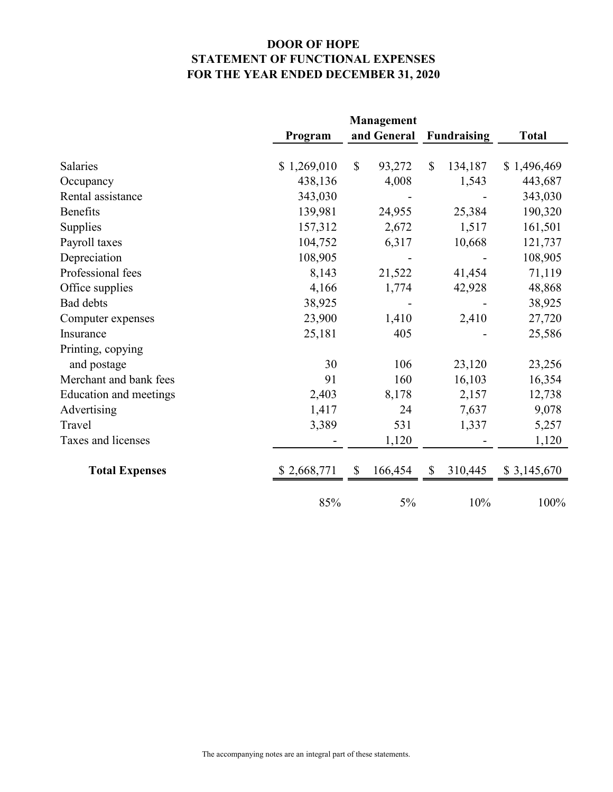# **DOOR OF HOPE STATEMENT OF FUNCTIONAL EXPENSES FOR THE YEAR ENDED DECEMBER 31, 2020**

|                        |             | <b>Management</b>                    |                         |              |
|------------------------|-------------|--------------------------------------|-------------------------|--------------|
|                        | Program     | and General                          | <b>Fundraising</b>      | <b>Total</b> |
|                        |             |                                      |                         |              |
| <b>Salaries</b>        | \$1,269,010 | $\mathbb{S}$<br>93,272               | $\mathbb{S}$<br>134,187 | \$1,496,469  |
| Occupancy              | 438,136     | 4,008                                | 1,543                   | 443,687      |
| Rental assistance      | 343,030     |                                      |                         | 343,030      |
| <b>Benefits</b>        | 139,981     | 24,955                               | 25,384                  | 190,320      |
| Supplies               | 157,312     | 2,672                                | 1,517                   | 161,501      |
| Payroll taxes          | 104,752     | 6,317                                | 10,668                  | 121,737      |
| Depreciation           | 108,905     |                                      |                         | 108,905      |
| Professional fees      | 8,143       | 21,522                               | 41,454                  | 71,119       |
| Office supplies        | 4,166       | 1,774                                | 42,928                  | 48,868       |
| Bad debts              | 38,925      |                                      |                         | 38,925       |
| Computer expenses      | 23,900      | 1,410                                | 2,410                   | 27,720       |
| Insurance              | 25,181      | 405                                  |                         | 25,586       |
| Printing, copying      |             |                                      |                         |              |
| and postage            | 30          | 106                                  | 23,120                  | 23,256       |
| Merchant and bank fees | 91          | 160                                  | 16,103                  | 16,354       |
| Education and meetings | 2,403       | 8,178                                | 2,157                   | 12,738       |
| Advertising            | 1,417       | 24                                   | 7,637                   | 9,078        |
| Travel                 | 3,389       | 531                                  | 1,337                   | 5,257        |
| Taxes and licenses     |             | 1,120                                |                         | 1,120        |
| <b>Total Expenses</b>  | \$2,668,771 | 166,454<br>$\boldsymbol{\mathsf{S}}$ | 310,445<br>\$           | \$3,145,670  |
|                        | 85%         | 5%                                   | 10%                     | 100%         |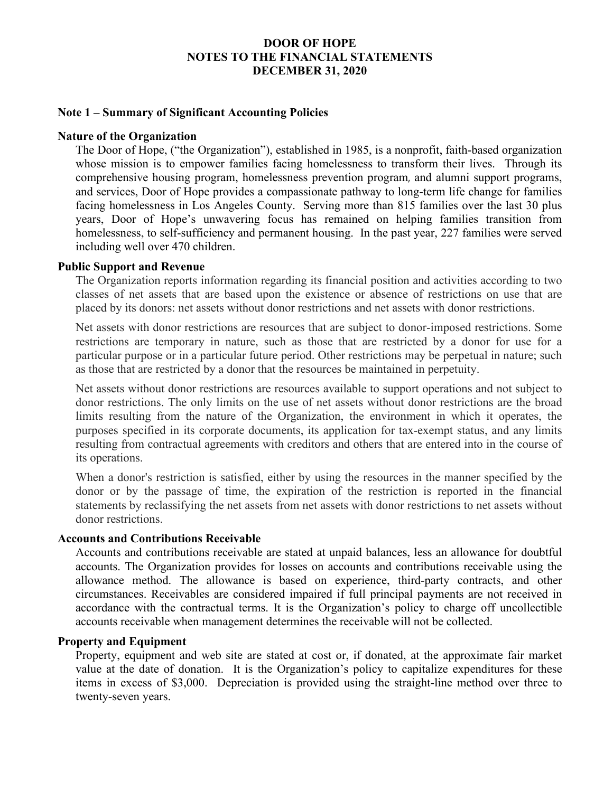#### **Note 1 – Summary of Significant Accounting Policies**

#### **Nature of the Organization**

The Door of Hope, ("the Organization"), established in 1985, is a nonprofit, faith-based organization whose mission is to empower families facing homelessness to transform their lives. Through its comprehensive housing program, homelessness prevention program, and alumni support programs, and services, Door of Hope provides a compassionate pathway to long-term life change for families facing homelessness in Los Angeles County. Serving more than 815 families over the last 30 plus years, Door of Hope's unwavering focus has remained on helping families transition from homelessness, to self-sufficiency and permanent housing. In the past year, 227 families were served including well over 470 children.

#### **Public Support and Revenue**

The Organization reports information regarding its financial position and activities according to two classes of net assets that are based upon the existence or absence of restrictions on use that are placed by its donors: net assets without donor restrictions and net assets with donor restrictions.

Net assets with donor restrictions are resources that are subject to donor-imposed restrictions. Some restrictions are temporary in nature, such as those that are restricted by a donor for use for a particular purpose or in a particular future period. Other restrictions may be perpetual in nature; such as those that are restricted by a donor that the resources be maintained in perpetuity.

Net assets without donor restrictions are resources available to support operations and not subject to donor restrictions. The only limits on the use of net assets without donor restrictions are the broad limits resulting from the nature of the Organization, the environment in which it operates, the purposes specified in its corporate documents, its application for tax-exempt status, and any limits resulting from contractual agreements with creditors and others that are entered into in the course of its operations.

When a donor's restriction is satisfied, either by using the resources in the manner specified by the donor or by the passage of time, the expiration of the restriction is reported in the financial statements by reclassifying the net assets from net assets with donor restrictions to net assets without donor restrictions.

# **Accounts and Contributions Receivable**

Accounts and contributions receivable are stated at unpaid balances, less an allowance for doubtful accounts. The Organization provides for losses on accounts and contributions receivable using the allowance method. The allowance is based on experience, third-party contracts, and other circumstances. Receivables are considered impaired if full principal payments are not received in accordance with the contractual terms. It is the Organization's policy to charge off uncollectible accounts receivable when management determines the receivable will not be collected.

# **Property and Equipment**

Property, equipment and web site are stated at cost or, if donated, at the approximate fair market value at the date of donation. It is the Organization's policy to capitalize expenditures for these items in excess of \$3,000. Depreciation is provided using the straight-line method over three to twenty-seven years.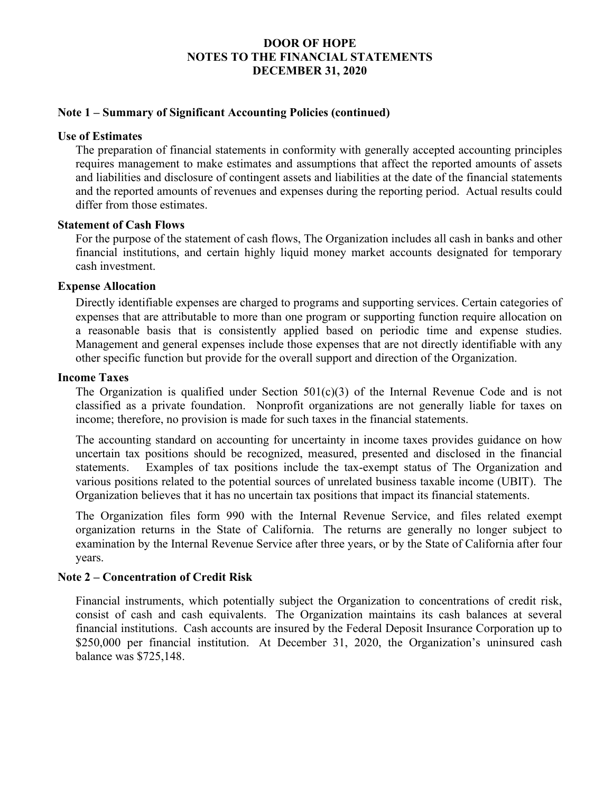# **Note 1 – Summary of Significant Accounting Policies (continued)**

#### **Use of Estimates**

The preparation of financial statements in conformity with generally accepted accounting principles requires management to make estimates and assumptions that affect the reported amounts of assets and liabilities and disclosure of contingent assets and liabilities at the date of the financial statements and the reported amounts of revenues and expenses during the reporting period. Actual results could differ from those estimates.

#### **Statement of Cash Flows**

For the purpose of the statement of cash flows, The Organization includes all cash in banks and other financial institutions, and certain highly liquid money market accounts designated for temporary cash investment.

#### **Expense Allocation**

Directly identifiable expenses are charged to programs and supporting services. Certain categories of expenses that are attributable to more than one program or supporting function require allocation on a reasonable basis that is consistently applied based on periodic time and expense studies. Management and general expenses include those expenses that are not directly identifiable with any other specific function but provide for the overall support and direction of the Organization.

#### **Income Taxes**

The Organization is qualified under Section  $501(c)(3)$  of the Internal Revenue Code and is not classified as a private foundation. Nonprofit organizations are not generally liable for taxes on income; therefore, no provision is made for such taxes in the financial statements.

The accounting standard on accounting for uncertainty in income taxes provides guidance on how uncertain tax positions should be recognized, measured, presented and disclosed in the financial statements. Examples of tax positions include the tax-exempt status of The Organization and various positions related to the potential sources of unrelated business taxable income (UBIT). The Organization believes that it has no uncertain tax positions that impact its financial statements.

The Organization files form 990 with the Internal Revenue Service, and files related exempt organization returns in the State of California. The returns are generally no longer subject to examination by the Internal Revenue Service after three years, or by the State of California after four years.

# **Note 2 – Concentration of Credit Risk**

Financial instruments, which potentially subject the Organization to concentrations of credit risk, consist of cash and cash equivalents. The Organization maintains its cash balances at several financial institutions. Cash accounts are insured by the Federal Deposit Insurance Corporation up to \$250,000 per financial institution. At December 31, 2020, the Organization's uninsured cash balance was \$725,148.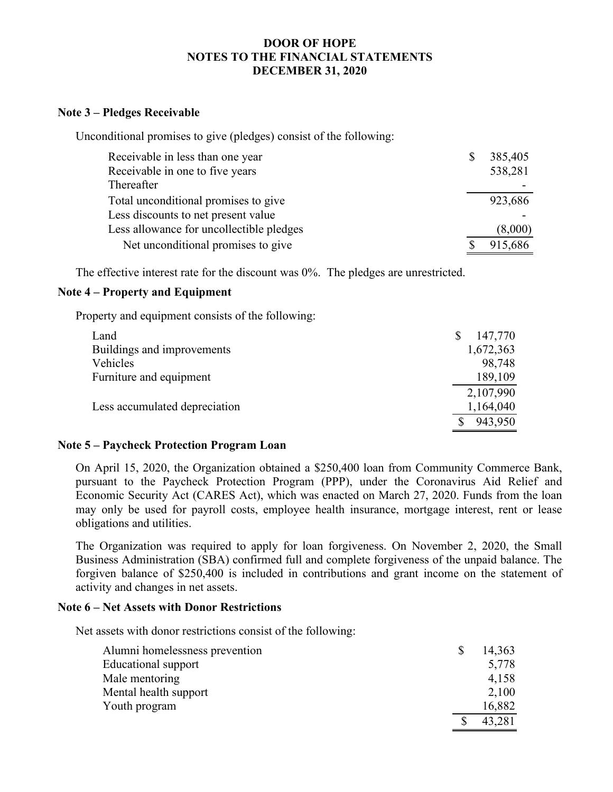### **Note 3 – Pledges Receivable**

Unconditional promises to give (pledges) consist of the following:

| Receivable in less than one year         | \$<br>385,405 |
|------------------------------------------|---------------|
| Receivable in one to five years          | 538,281       |
| Thereafter                               |               |
| Total unconditional promises to give     | 923,686       |
| Less discounts to net present value      |               |
| Less allowance for uncollectible pledges | (8,000)       |
| Net unconditional promises to give       | 915,686       |

The effective interest rate for the discount was 0%. The pledges are unrestricted.

# **Note 4 – Property and Equipment**

Property and equipment consists of the following:

| Land                          | 147,770   |
|-------------------------------|-----------|
| Buildings and improvements    | 1,672,363 |
| Vehicles                      | 98,748    |
| Furniture and equipment       | 189,109   |
|                               | 2,107,990 |
| Less accumulated depreciation | 1,164,040 |
|                               | 943,950   |
|                               |           |

# **Note 5 – Paycheck Protection Program Loan**

On April 15, 2020, the Organization obtained a \$250,400 loan from Community Commerce Bank, pursuant to the Paycheck Protection Program (PPP), under the Coronavirus Aid Relief and Economic Security Act (CARES Act), which was enacted on March 27, 2020. Funds from the loan may only be used for payroll costs, employee health insurance, mortgage interest, rent or lease obligations and utilities.

The Organization was required to apply for loan forgiveness. On November 2, 2020, the Small Business Administration (SBA) confirmed full and complete forgiveness of the unpaid balance. The forgiven balance of \$250,400 is included in contributions and grant income on the statement of activity and changes in net assets.

# **Note 6 – Net Assets with Donor Restrictions**

Net assets with donor restrictions consist of the following:

| Alumni homelessness prevention | 14,363 |
|--------------------------------|--------|
| Educational support            | 5,778  |
| Male mentoring                 | 4,158  |
| Mental health support          | 2,100  |
| Youth program                  | 16,882 |
|                                | 43,281 |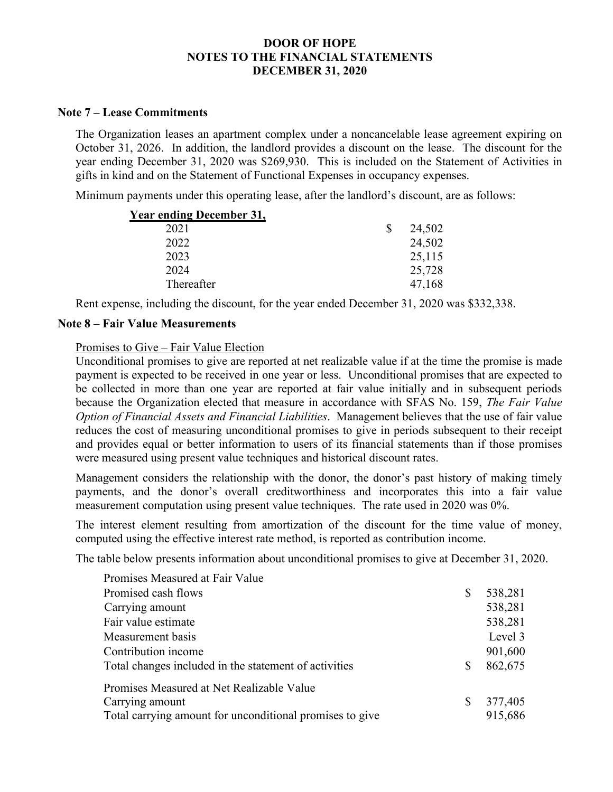#### **Note 7 – Lease Commitments**

The Organization leases an apartment complex under a noncancelable lease agreement expiring on October 31, 2026. In addition, the landlord provides a discount on the lease. The discount for the year ending December 31, 2020 was \$269,930. This is included on the Statement of Activities in gifts in kind and on the Statement of Functional Expenses in occupancy expenses.

Minimum payments under this operating lease, after the landlord's discount, are as follows:

| <b>Year ending December 31,</b> |   |        |
|---------------------------------|---|--------|
| 2021                            | S | 24,502 |
| 2022                            |   | 24,502 |
| 2023                            |   | 25,115 |
| 2024                            |   | 25,728 |
| Thereafter                      |   | 47,168 |

Rent expense, including the discount, for the year ended December 31, 2020 was \$332,338.

#### **Note 8 – Fair Value Measurements**

Promises to Give – Fair Value Election

Unconditional promises to give are reported at net realizable value if at the time the promise is made payment is expected to be received in one year or less. Unconditional promises that are expected to be collected in more than one year are reported at fair value initially and in subsequent periods because the Organization elected that measure in accordance with SFAS No. 159, *The Fair Value Option of Financial Assets and Financial Liabilities*. Management believes that the use of fair value reduces the cost of measuring unconditional promises to give in periods subsequent to their receipt and provides equal or better information to users of its financial statements than if those promises were measured using present value techniques and historical discount rates.

Management considers the relationship with the donor, the donor's past history of making timely payments, and the donor's overall creditworthiness and incorporates this into a fair value measurement computation using present value techniques. The rate used in 2020 was 0%.

The interest element resulting from amortization of the discount for the time value of money, computed using the effective interest rate method, is reported as contribution income.

The table below presents information about unconditional promises to give at December 31, 2020.

| Promises Measured at Fair Value                          |   |         |
|----------------------------------------------------------|---|---------|
| Promised cash flows                                      | S | 538,281 |
| Carrying amount                                          |   | 538,281 |
| Fair value estimate                                      |   | 538,281 |
| Measurement basis                                        |   | Level 3 |
| Contribution income                                      |   | 901,600 |
| Total changes included in the statement of activities    |   | 862,675 |
| Promises Measured at Net Realizable Value                |   |         |
| Carrying amount                                          | S | 377,405 |
| Total carrying amount for unconditional promises to give |   | 915,686 |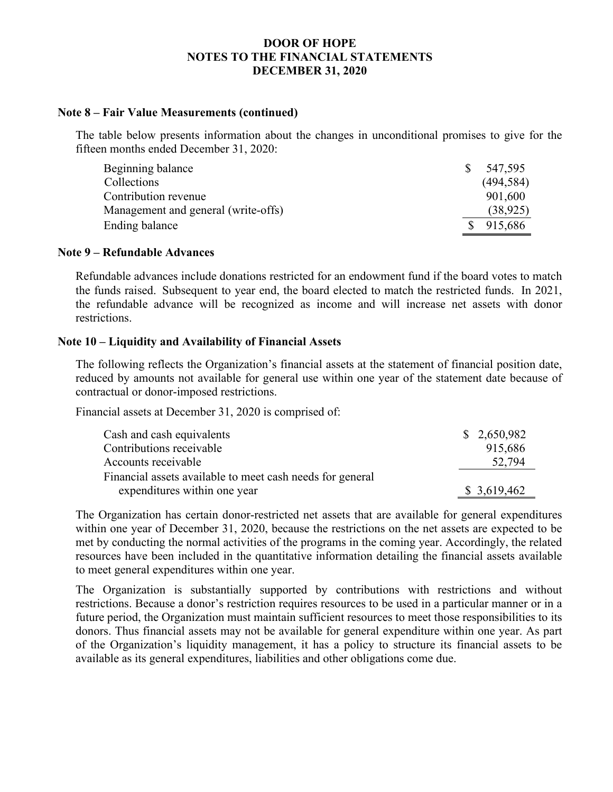#### **Note 8 – Fair Value Measurements (continued)**

The table below presents information about the changes in unconditional promises to give for the fifteen months ended December 31, 2020:

| Beginning balance                   |              | 547,595    |
|-------------------------------------|--------------|------------|
| Collections                         |              | (494, 584) |
| Contribution revenue                |              | 901,600    |
| Management and general (write-offs) |              | (38, 925)  |
| Ending balance                      | $\mathbf{S}$ | 915,686    |

#### **Note 9 – Refundable Advances**

Refundable advances include donations restricted for an endowment fund if the board votes to match the funds raised. Subsequent to year end, the board elected to match the restricted funds. In 2021, the refundable advance will be recognized as income and will increase net assets with donor restrictions.

#### **Note 10 – Liquidity and Availability of Financial Assets**

The following reflects the Organization's financial assets at the statement of financial position date, reduced by amounts not available for general use within one year of the statement date because of contractual or donor-imposed restrictions.

Financial assets at December 31, 2020 is comprised of:

| Cash and cash equivalents                                 | \$2,650,982 |
|-----------------------------------------------------------|-------------|
| Contributions receivable                                  | 915,686     |
| Accounts receivable                                       | 52,794      |
| Financial assets available to meet cash needs for general |             |
| expenditures within one year                              | \$3,619,462 |

The Organization has certain donor-restricted net assets that are available for general expenditures within one year of December 31, 2020, because the restrictions on the net assets are expected to be met by conducting the normal activities of the programs in the coming year. Accordingly, the related resources have been included in the quantitative information detailing the financial assets available to meet general expenditures within one year.

The Organization is substantially supported by contributions with restrictions and without restrictions. Because a donor's restriction requires resources to be used in a particular manner or in a future period, the Organization must maintain sufficient resources to meet those responsibilities to its donors. Thus financial assets may not be available for general expenditure within one year. As part of the Organization's liquidity management, it has a policy to structure its financial assets to be available as its general expenditures, liabilities and other obligations come due.